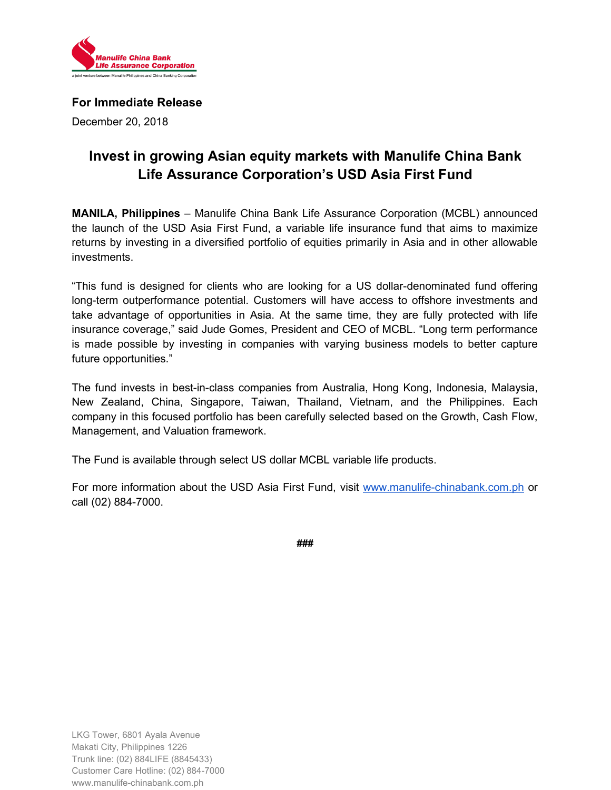

## **For Immediate Release**

December 20, 2018

# **Invest in growing Asian equity markets with Manulife China Bank Life Assurance Corporation's USD Asia First Fund**

**MANILA, Philippines** – Manulife China Bank Life Assurance Corporation (MCBL) announced the launch of the USD Asia First Fund, a variable life insurance fund that aims to maximize returns by investing in a diversified portfolio of equities primarily in Asia and in other allowable investments.

"This fund is designed for clients who are looking for a US dollar-denominated fund offering long-term outperformance potential. Customers will have access to offshore investments and take advantage of opportunities in Asia. At the same time, they are fully protected with life insurance coverage," said Jude Gomes, President and CEO of MCBL. "Long term performance is made possible by investing in companies with varying business models to better capture future opportunities."

The fund invests in best-in-class companies from Australia, Hong Kong, Indonesia, Malaysia, New Zealand, China, Singapore, Taiwan, Thailand, Vietnam, and the Philippines. Each company in this focused portfolio has been carefully selected based on the Growth, Cash Flow, Management, and Valuation framework.

The Fund is available through select US dollar MCBL variable life products.

For more information about the USD Asia First Fund, visit [www.manulife-chinabank.com.ph](http://www.manulife-chinabank.com.ph/) or call (02) 884-7000.

**###**